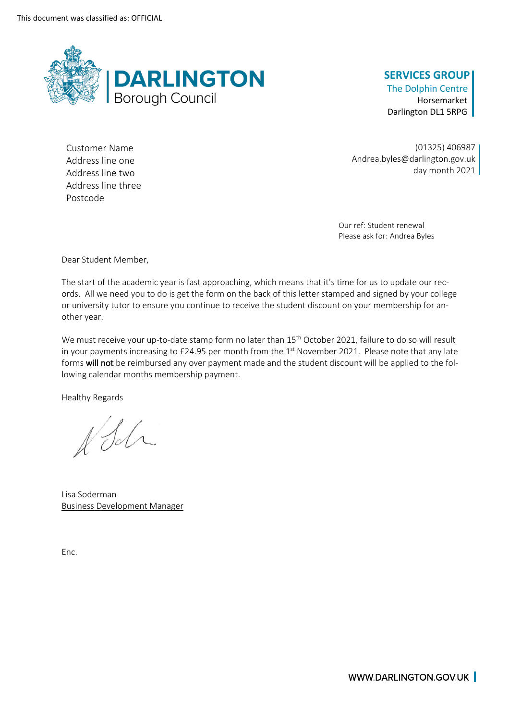

## **SERVICES GROUP**

The Dolphin Centre Horsemarket Darlington DL1 5RPG

Address line two Address line three Postcode

Customer Name (01325) 406987 Address line one and the Andrea.byles@darlington.gov.uk<br>Andrea.byles@darlington.gov.uk<br>Address line two

> Our ref: Student renewal Please ask for: Andrea Byles

Dear Student Member,

 The start of the academic year is fast approaching, which means that it's time for us to update our rec- ords. All we need you to do is get the form on the back of this letter stamped and signed by your college or university tutor to ensure you continue to receive the student discount on your membership for another year.

We must receive your up-to-date stamp form no later than  $15^{\text{th}}$  October 2021, failure to do so will result in your payments increasing to £24.95 per month from the  $1<sup>st</sup>$  November 2021. Please note that any late forms **will not** be reimbursed any over payment made and the student discount will be applied to the fol-lowing calendar months membership payment.

Healthy Regards

VSM.

Lisa Soderman Business Development Manager

Enc.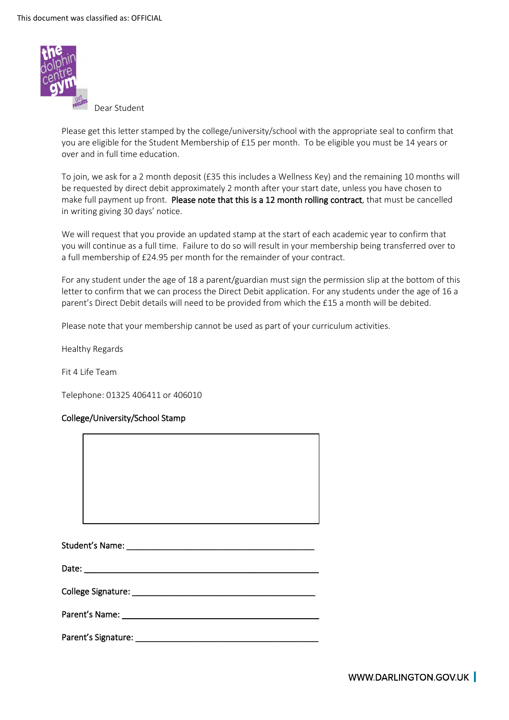

Dear Student

 you are eligible for the Student Membership of £15 per month. To be eligible you must be 14 years or Please get this letter stamped by the college/university/school with the appropriate seal to confirm that over and in full time education.

 To join, we ask for a 2 month deposit (£35 this includes a Wellness Key) and the remaining 10 months will be requested by direct debit approximately 2 month after your start date, unless you have chosen to make full payment up front. Please note that this is a 12 month rolling contract, that must be cancelled in writing giving 30 days' notice.

 We will request that you provide an updated stamp at the start of each academic year to confirm that you will continue as a full time. Failure to do so will result in your membership being transferred over to a full membership of £24.95 per month for the remainder of your contract.

 For any student under the age of 18 a parent/guardian must sign the permission slip at the bottom of this letter to confirm that we can process the Direct Debit application. For any students under the age of 16 a parent's Direct Debit details will need to be provided from which the £15 a month will be debited.

Please note that your membership cannot be used as part of your curriculum activities.

Healthy Regards

Fit 4 Life Team

Telephone: 01325 406411 or 406010

## College/University/School Stamp

| College Signature: Management College Signature: |  |
|--------------------------------------------------|--|
|                                                  |  |
|                                                  |  |